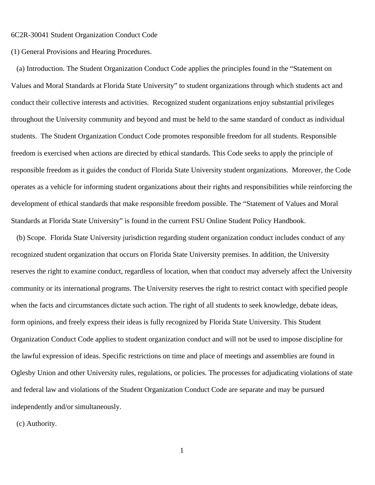6C2R-30041 Student Organization Conduct Code

(1) General Provisions and Hearing Procedures.

(a) Introduction. The Student Organization Conduct Code applies the principles found in the "Statement on Values and Moral Standards at Florida State University" to student organizations through which students act and conduct their collective interests and activities. Recognized student organizations enjoy substantial privileges throughout the University community and beyond and must be held to the same standard of conduct as individual students. The Student Organization Conduct Code promotes responsible freedom for all students. Responsible freedom is exercised when actions are directed by ethical standards. This Code seeks to apply the principle of responsible freedom as it guides the conduct of Florida State University student organizations. Moreover, the Code operates as a vehicle for informing student organizations about their rights and responsibilities while reinforcing the development of ethical standards that make responsible freedom possible. The "Statement of Values and Moral Standards at Florida State University" is found in the current FSU Online Student Policy Handbook.

(b) Scope. Florida State University jurisdiction regarding student organization conduct includes conduct of any recognized student organization that occurs on Florida State University premises. In addition, the University reserves the right to examine conduct, regardless of location, when that conduct may adversely affect the University community or its international programs. The University reserves the right to restrict contact with specified people when the facts and circumstances dictate such action. The right of all students to seek knowledge, debate ideas, form opinions, and freely express their ideas is fully recognized by Florida State University. This Student Organization Conduct Code applies to student organization conduct and will not be used to impose discipline for the lawful expression of ideas. Specific restrictions on time and place of meetings and assemblies are found in Oglesby Union and other University rules, regulations, or policies. The processes for adjudicating violations of state and federal law and violations of the Student Organization Conduct Code are separate and may be pursued independently and/or simultaneously.

(c) Authority.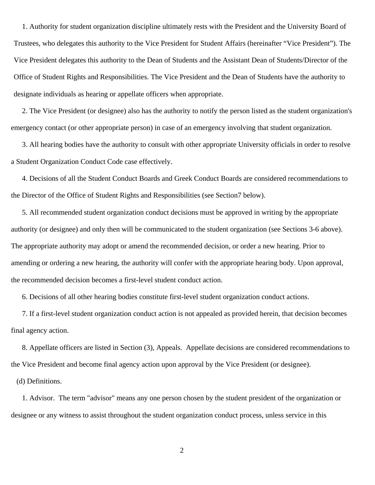1. Authority for student organization discipline ultimately rests with the President and the University Board of Trustees, who delegates this authority to the Vice President for Student Affairs (hereinafter "Vice President"). The Vice President delegates this authority to the Dean of Students and the Assistant Dean of Students/Director of the Office of Student Rights and Responsibilities. The Vice President and the Dean of Students have the authority to designate individuals as hearing or appellate officers when appropriate.

2. The Vice President (or designee) also has the authority to notify the person listed as the student organization's emergency contact (or other appropriate person) in case of an emergency involving that student organization.

3. All hearing bodies have the authority to consult with other appropriate University officials in order to resolve a Student Organization Conduct Code case effectively.

4. Decisions of all the Student Conduct Boards and Greek Conduct Boards are considered recommendations to the Director of the Office of Student Rights and Responsibilities (see Section7 below).

5. All recommended student organization conduct decisions must be approved in writing by the appropriate authority (or designee) and only then will be communicated to the student organization (see Sections 3-6 above). The appropriate authority may adopt or amend the recommended decision, or order a new hearing. Prior to amending or ordering a new hearing, the authority will confer with the appropriate hearing body. Upon approval, the recommended decision becomes a first-level student conduct action.

6. Decisions of all other hearing bodies constitute first-level student organization conduct actions.

7. If a first-level student organization conduct action is not appealed as provided herein, that decision becomes final agency action.

8. Appellate officers are listed in Section (3), Appeals. Appellate decisions are considered recommendations to the Vice President and become final agency action upon approval by the Vice President (or designee).

(d) Definitions.

1. Advisor. The term "advisor" means any one person chosen by the student president of the organization or designee or any witness to assist throughout the student organization conduct process, unless service in this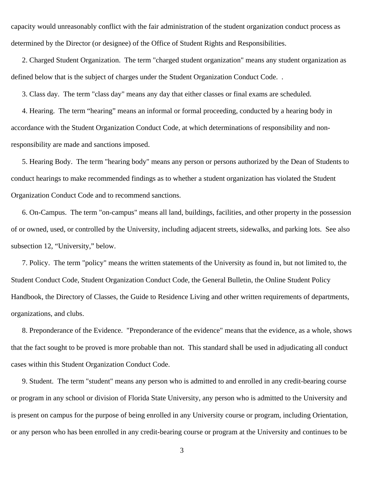capacity would unreasonably conflict with the fair administration of the student organization conduct process as determined by the Director (or designee) of the Office of Student Rights and Responsibilities.

2. Charged Student Organization. The term "charged student organization" means any student organization as defined below that is the subject of charges under the Student Organization Conduct Code. .

3. Class day. The term "class day" means any day that either classes or final exams are scheduled.

4. Hearing. The term "hearing" means an informal or formal proceeding, conducted by a hearing body in accordance with the Student Organization Conduct Code, at which determinations of responsibility and nonresponsibility are made and sanctions imposed.

5. Hearing Body. The term "hearing body" means any person or persons authorized by the Dean of Students to conduct hearings to make recommended findings as to whether a student organization has violated the Student Organization Conduct Code and to recommend sanctions.

6. On-Campus. The term "on-campus" means all land, buildings, facilities, and other property in the possession of or owned, used, or controlled by the University, including adjacent streets, sidewalks, and parking lots. See also subsection 12, "University," below.

7. Policy. The term "policy" means the written statements of the University as found in, but not limited to, the Student Conduct Code, Student Organization Conduct Code, the General Bulletin, the Online Student Policy Handbook, the Directory of Classes, the Guide to Residence Living and other written requirements of departments, organizations, and clubs.

8. Preponderance of the Evidence. "Preponderance of the evidence" means that the evidence, as a whole, shows that the fact sought to be proved is more probable than not. This standard shall be used in adjudicating all conduct cases within this Student Organization Conduct Code.

9. Student. The term "student" means any person who is admitted to and enrolled in any credit-bearing course or program in any school or division of Florida State University, any person who is admitted to the University and is present on campus for the purpose of being enrolled in any University course or program, including Orientation, or any person who has been enrolled in any credit-bearing course or program at the University and continues to be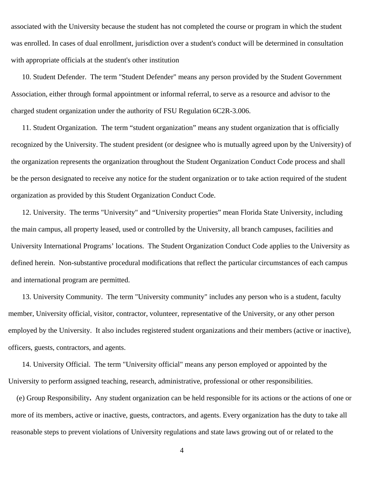associated with the University because the student has not completed the course or program in which the student was enrolled. In cases of dual enrollment, jurisdiction over a student's conduct will be determined in consultation with appropriate officials at the student's other institution

10. Student Defender. The term "Student Defender" means any person provided by the Student Government Association, either through formal appointment or informal referral, to serve as a resource and advisor to the charged student organization under the authority of FSU Regulation 6C2R-3.006.

11. Student Organization. The term "student organization" means any student organization that is officially recognized by the University. The student president (or designee who is mutually agreed upon by the University) of the organization represents the organization throughout the Student Organization Conduct Code process and shall be the person designated to receive any notice for the student organization or to take action required of the student organization as provided by this Student Organization Conduct Code.

12. University. The terms "University" and "University properties" mean Florida State University, including the main campus, all property leased, used or controlled by the University, all branch campuses, facilities and University International Programs' locations. The Student Organization Conduct Code applies to the University as defined herein. Non-substantive procedural modifications that reflect the particular circumstances of each campus and international program are permitted.

13. University Community. The term "University community" includes any person who is a student, faculty member, University official, visitor, contractor, volunteer, representative of the University, or any other person employed by the University. It also includes registered student organizations and their members (active or inactive), officers, guests, contractors, and agents.

14. University Official. The term "University official" means any person employed or appointed by the University to perform assigned teaching, research, administrative, professional or other responsibilities.

(e) Group Responsibility**.** Any student organization can be held responsible for its actions or the actions of one or more of its members, active or inactive, guests, contractors, and agents. Every organization has the duty to take all reasonable steps to prevent violations of University regulations and state laws growing out of or related to the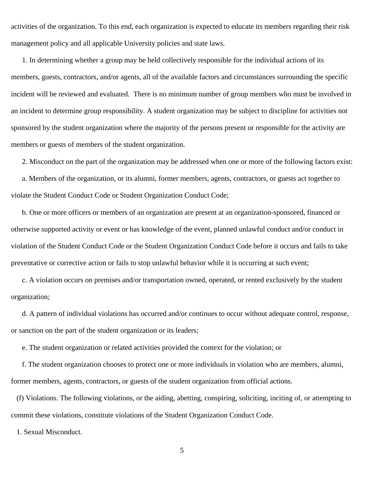activities of the organization. To this end, each organization is expected to educate its members regarding their risk management policy and all applicable University policies and state laws.

1. In determining whether a group may be held collectively responsible for the individual actions of its members, guests, contractors, and/or agents, all of the available factors and circumstances surrounding the specific incident will be reviewed and evaluated. There is no minimum number of group members who must be involved in an incident to determine group responsibility. A student organization may be subject to discipline for activities not sponsored by the student organization where the majority of the persons present or responsible for the activity are members or guests of members of the student organization.

2. Misconduct on the part of the organization may be addressed when one or more of the following factors exist:

a. Members of the organization, or its alumni, former members, agents, contractors, or guests act together to violate the Student Conduct Code or Student Organization Conduct Code;

b. One or more officers or members of an organization are present at an organization-sponsored, financed or otherwise supported activity or event or has knowledge of the event, planned unlawful conduct and/or conduct in violation of the Student Conduct Code or the Student Organization Conduct Code before it occurs and fails to take preventative or corrective action or fails to stop unlawful behavior while it is occurring at such event;

c. A violation occurs on premises and/or transportation owned, operated, or rented exclusively by the student organization;

d. A pattern of individual violations has occurred and/or continues to occur without adequate control, response, or sanction on the part of the student organization or its leaders;

e. The student organization or related activities provided the context for the violation; or

f. The student organization chooses to protect one or more individuals in violation who are members, alumni, former members, agents, contractors, or guests of the student organization from official actions.

(f) Violations. The following violations, or the aiding, abetting, conspiring, soliciting, inciting of, or attempting to commit these violations, constitute violations of the Student Organization Conduct Code.

1. Sexual Misconduct.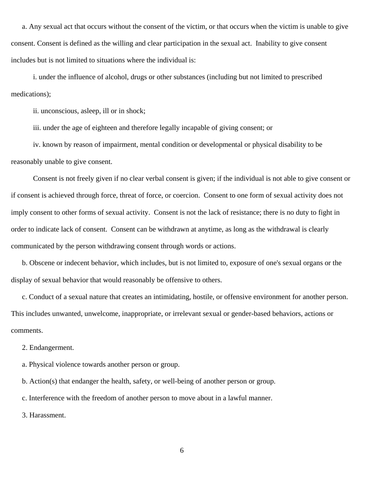a. Any sexual act that occurs without the consent of the victim, or that occurs when the victim is unable to give consent. Consent is defined as the willing and clear participation in the sexual act. Inability to give consent includes but is not limited to situations where the individual is:

i. under the influence of alcohol, drugs or other substances (including but not limited to prescribed medications);

ii. unconscious, asleep, ill or in shock;

iii. under the age of eighteen and therefore legally incapable of giving consent; or

iv. known by reason of impairment, mental condition or developmental or physical disability to be reasonably unable to give consent.

Consent is not freely given if no clear verbal consent is given; if the individual is not able to give consent or if consent is achieved through force, threat of force, or coercion. Consent to one form of sexual activity does not imply consent to other forms of sexual activity. Consent is not the lack of resistance; there is no duty to fight in order to indicate lack of consent. Consent can be withdrawn at anytime, as long as the withdrawal is clearly communicated by the person withdrawing consent through words or actions.

b. Obscene or indecent behavior, which includes, but is not limited to, exposure of one's sexual organs or the display of sexual behavior that would reasonably be offensive to others.

c. Conduct of a sexual nature that creates an intimidating, hostile, or offensive environment for another person. This includes unwanted, unwelcome, inappropriate, or irrelevant sexual or gender-based behaviors, actions or comments.

2. Endangerment.

a. Physical violence towards another person or group.

b. Action(s) that endanger the health, safety, or well-being of another person or group.

c. Interference with the freedom of another person to move about in a lawful manner.

3. Harassment.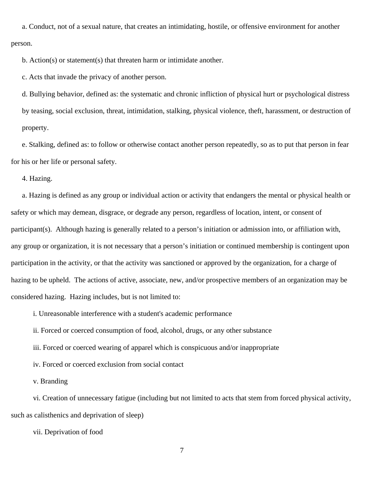a. Conduct, not of a sexual nature, that creates an intimidating, hostile, or offensive environment for another person.

b. Action(s) or statement(s) that threaten harm or intimidate another.

c. Acts that invade the privacy of another person.

d. Bullying behavior, defined as: the systematic and chronic infliction of physical hurt or psychological distress by teasing, social exclusion, threat, intimidation, stalking, physical violence, theft, harassment, or destruction of property.

e. Stalking, defined as: to follow or otherwise contact another person repeatedly, so as to put that person in fear for his or her life or personal safety.

4. Hazing.

a. Hazing is defined as any group or individual action or activity that endangers the mental or physical health or safety or which may demean, disgrace, or degrade any person, regardless of location, intent, or consent of participant(s). Although hazing is generally related to a person's initiation or admission into, or affiliation with, any group or organization, it is not necessary that a person's initiation or continued membership is contingent upon participation in the activity, or that the activity was sanctioned or approved by the organization, for a charge of hazing to be upheld. The actions of active, associate, new, and/or prospective members of an organization may be considered hazing. Hazing includes, but is not limited to:

i. Unreasonable interference with a student's academic performance

ii. Forced or coerced consumption of food, alcohol, drugs, or any other substance

iii. Forced or coerced wearing of apparel which is conspicuous and/or inappropriate

iv. Forced or coerced exclusion from social contact

v. Branding

vi. Creation of unnecessary fatigue (including but not limited to acts that stem from forced physical activity, such as calisthenics and deprivation of sleep)

vii. Deprivation of food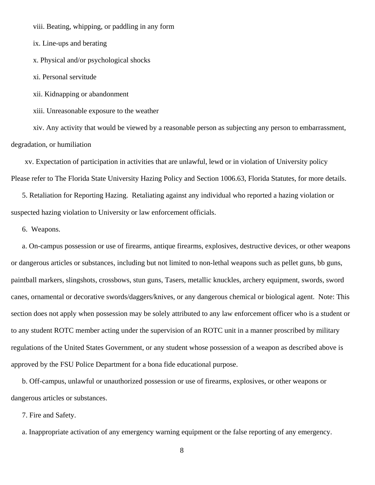viii. Beating, whipping, or paddling in any form

ix. Line-ups and berating

x. Physical and/or psychological shocks

xi. Personal servitude

xii. Kidnapping or abandonment

xiii. Unreasonable exposure to the weather

xiv. Any activity that would be viewed by a reasonable person as subjecting any person to embarrassment, degradation, or humiliation

xv. Expectation of participation in activities that are unlawful, lewd or in violation of University policy Please refer to The Florida State University Hazing Policy and Section 1006.63, Florida Statutes, for more details.

5. Retaliation for Reporting Hazing. Retaliating against any individual who reported a hazing violation or suspected hazing violation to University or law enforcement officials.

6. Weapons.

a. On-campus possession or use of firearms, antique firearms, explosives, destructive devices, or other weapons or dangerous articles or substances, including but not limited to non-lethal weapons such as pellet guns, bb guns, paintball markers, slingshots, crossbows, stun guns, Tasers, metallic knuckles, archery equipment, swords, sword canes, ornamental or decorative swords/daggers/knives, or any dangerous chemical or biological agent. Note: This section does not apply when possession may be solely attributed to any law enforcement officer who is a student or to any student ROTC member acting under the supervision of an ROTC unit in a manner proscribed by military regulations of the United States Government, or any student whose possession of a weapon as described above is approved by the FSU Police Department for a bona fide educational purpose.

b. Off-campus, unlawful or unauthorized possession or use of firearms, explosives, or other weapons or dangerous articles or substances.

7. Fire and Safety.

a. Inappropriate activation of any emergency warning equipment or the false reporting of any emergency.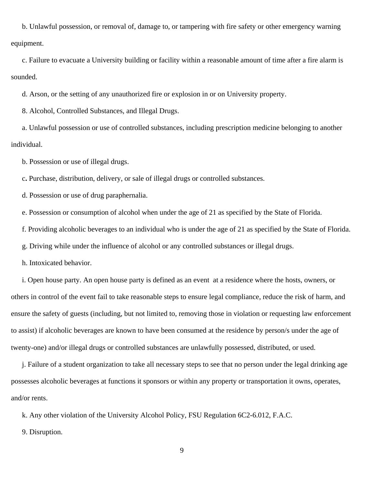b. Unlawful possession, or removal of, damage to, or tampering with fire safety or other emergency warning equipment.

c. Failure to evacuate a University building or facility within a reasonable amount of time after a fire alarm is sounded.

d. Arson, or the setting of any unauthorized fire or explosion in or on University property.

8. Alcohol, Controlled Substances, and Illegal Drugs.

a. Unlawful possession or use of controlled substances, including prescription medicine belonging to another individual.

b. Possession or use of illegal drugs.

c**.** Purchase, distribution, delivery, or sale of illegal drugs or controlled substances.

d. Possession or use of drug paraphernalia.

e. Possession or consumption of alcohol when under the age of 21 as specified by the State of Florida.

f. Providing alcoholic beverages to an individual who is under the age of 21 as specified by the State of Florida.

g. Driving while under the influence of alcohol or any controlled substances or illegal drugs.

h. Intoxicated behavior.

i. Open house party. An open house party is defined as an event at a residence where the hosts, owners, or others in control of the event fail to take reasonable steps to ensure legal compliance, reduce the risk of harm, and ensure the safety of guests (including, but not limited to, removing those in violation or requesting law enforcement to assist) if alcoholic beverages are known to have been consumed at the residence by person/s under the age of twenty-one) and/or illegal drugs or controlled substances are unlawfully possessed, distributed, or used.

j. Failure of a student organization to take all necessary steps to see that no person under the legal drinking age possesses alcoholic beverages at functions it sponsors or within any property or transportation it owns, operates, and/or rents.

k. Any other violation of the University Alcohol Policy, FSU Regulation 6C2-6.012, F.A.C.

9. Disruption.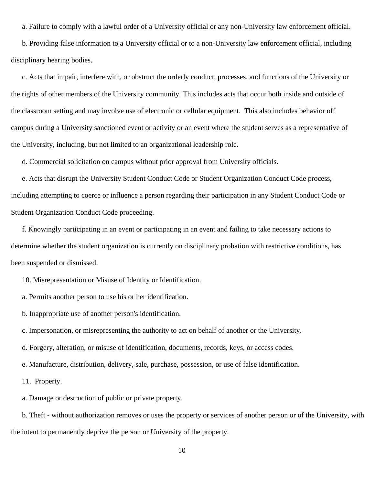a. Failure to comply with a lawful order of a University official or any non-University law enforcement official.

b. Providing false information to a University official or to a non-University law enforcement official, including disciplinary hearing bodies.

c. Acts that impair, interfere with, or obstruct the orderly conduct, processes, and functions of the University or the rights of other members of the University community. This includes acts that occur both inside and outside of the classroom setting and may involve use of electronic or cellular equipment. This also includes behavior off campus during a University sanctioned event or activity or an event where the student serves as a representative of the University, including, but not limited to an organizational leadership role.

d. Commercial solicitation on campus without prior approval from University officials.

e. Acts that disrupt the University Student Conduct Code or Student Organization Conduct Code process, including attempting to coerce or influence a person regarding their participation in any Student Conduct Code or Student Organization Conduct Code proceeding.

f. Knowingly participating in an event or participating in an event and failing to take necessary actions to determine whether the student organization is currently on disciplinary probation with restrictive conditions, has been suspended or dismissed.

10. Misrepresentation or Misuse of Identity or Identification.

a. Permits another person to use his or her identification.

b. Inappropriate use of another person's identification.

c. Impersonation, or misrepresenting the authority to act on behalf of another or the University.

d. Forgery, alteration, or misuse of identification, documents, records, keys, or access codes.

e. Manufacture, distribution, delivery, sale, purchase, possession, or use of false identification.

11. Property.

a. Damage or destruction of public or private property.

b. Theft - without authorization removes or uses the property or services of another person or of the University, with the intent to permanently deprive the person or University of the property.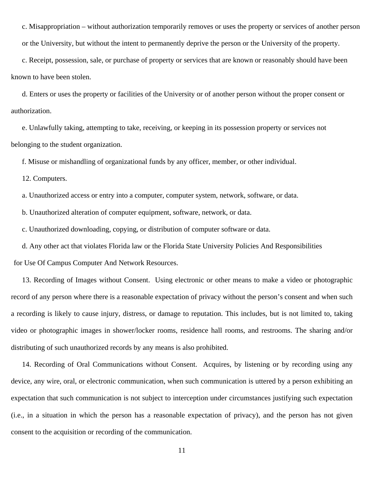c. Misappropriation – without authorization temporarily removes or uses the property or services of another person

c. Receipt, possession, sale, or purchase of property or services that are known or reasonably should have been known to have been stolen.

or the University, but without the intent to permanently deprive the person or the University of the property.

d. Enters or uses the property or facilities of the University or of another person without the proper consent or authorization.

e. Unlawfully taking, attempting to take, receiving, or keeping in its possession property or services not belonging to the student organization.

f. Misuse or mishandling of organizational funds by any officer, member, or other individual.

12. Computers.

a. Unauthorized access or entry into a computer, computer system, network, software, or data.

b. Unauthorized alteration of computer equipment, software, network, or data.

c. Unauthorized downloading, copying, or distribution of computer software or data.

d. Any other act that violates Florida law or the Florida State University Policies And Responsibilities

for Use Of Campus Computer And Network Resources.

13. Recording of Images without Consent. Using electronic or other means to make a video or photographic record of any person where there is a reasonable expectation of privacy without the person's consent and when such a recording is likely to cause injury, distress, or damage to reputation. This includes, but is not limited to, taking video or photographic images in shower/locker rooms, residence hall rooms, and restrooms. The sharing and/or distributing of such unauthorized records by any means is also prohibited.

14. Recording of Oral Communications without Consent. Acquires, by listening or by recording using any device, any wire, oral, or electronic communication, when such communication is uttered by a person exhibiting an expectation that such communication is not subject to interception under circumstances justifying such expectation (i.e., in a situation in which the person has a reasonable expectation of privacy), and the person has not given consent to the acquisition or recording of the communication.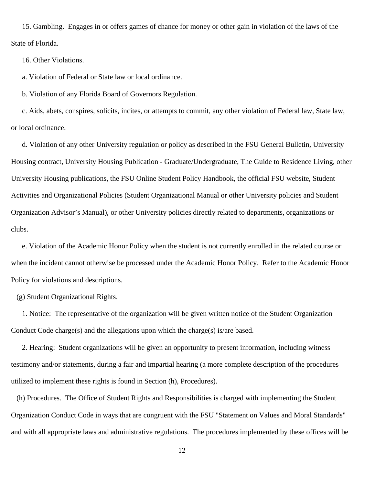15. Gambling. Engages in or offers games of chance for money or other gain in violation of the laws of the State of Florida.

16. Other Violations.

a. Violation of Federal or State law or local ordinance.

b. Violation of any Florida Board of Governors Regulation.

c. Aids, abets, conspires, solicits, incites, or attempts to commit, any other violation of Federal law, State law, or local ordinance.

d. Violation of any other University regulation or policy as described in the FSU General Bulletin, University Housing contract, University Housing Publication - Graduate/Undergraduate, The Guide to Residence Living, other University Housing publications, the FSU Online Student Policy Handbook, the official FSU website, Student Activities and Organizational Policies (Student Organizational Manual or other University policies and Student Organization Advisor's Manual), or other University policies directly related to departments, organizations or clubs.

e. Violation of the Academic Honor Policy when the student is not currently enrolled in the related course or when the incident cannot otherwise be processed under the Academic Honor Policy. Refer to the Academic Honor Policy for violations and descriptions.

(g) Student Organizational Rights.

1. Notice: The representative of the organization will be given written notice of the Student Organization Conduct Code charge(s) and the allegations upon which the charge(s) is/are based.

2. Hearing: Student organizations will be given an opportunity to present information, including witness testimony and/or statements, during a fair and impartial hearing (a more complete description of the procedures utilized to implement these rights is found in Section (h), Procedures).

(h) Procedures. The Office of Student Rights and Responsibilities is charged with implementing the Student Organization Conduct Code in ways that are congruent with the FSU "Statement on Values and Moral Standards" and with all appropriate laws and administrative regulations. The procedures implemented by these offices will be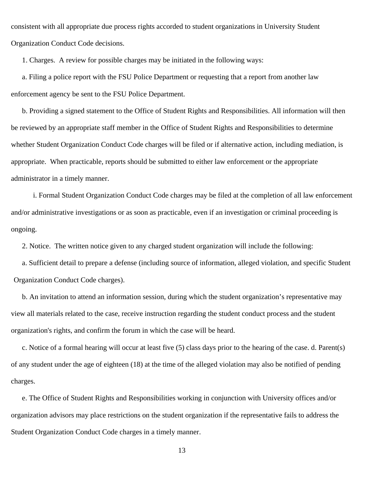consistent with all appropriate due process rights accorded to student organizations in University Student Organization Conduct Code decisions.

1. Charges. A review for possible charges may be initiated in the following ways:

a. Filing a police report with the FSU Police Department or requesting that a report from another law enforcement agency be sent to the FSU Police Department.

b. Providing a signed statement to the Office of Student Rights and Responsibilities. All information will then be reviewed by an appropriate staff member in the Office of Student Rights and Responsibilities to determine whether Student Organization Conduct Code charges will be filed or if alternative action, including mediation, is appropriate. When practicable, reports should be submitted to either law enforcement or the appropriate administrator in a timely manner.

i. Formal Student Organization Conduct Code charges may be filed at the completion of all law enforcement and/or administrative investigations or as soon as practicable, even if an investigation or criminal proceeding is ongoing.

2. Notice. The written notice given to any charged student organization will include the following:

a. Sufficient detail to prepare a defense (including source of information, alleged violation, and specific Student Organization Conduct Code charges).

b. An invitation to attend an information session, during which the student organization's representative may view all materials related to the case, receive instruction regarding the student conduct process and the student organization's rights, and confirm the forum in which the case will be heard.

c. Notice of a formal hearing will occur at least five (5) class days prior to the hearing of the case. d. Parent(s) of any student under the age of eighteen (18) at the time of the alleged violation may also be notified of pending charges.

e. The Office of Student Rights and Responsibilities working in conjunction with University offices and/or organization advisors may place restrictions on the student organization if the representative fails to address the Student Organization Conduct Code charges in a timely manner.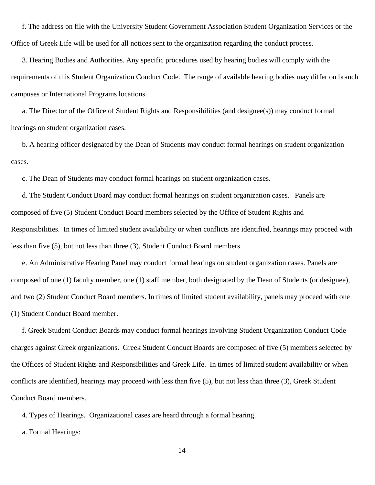f. The address on file with the University Student Government Association Student Organization Services or the Office of Greek Life will be used for all notices sent to the organization regarding the conduct process.

3. Hearing Bodies and Authorities. Any specific procedures used by hearing bodies will comply with the requirements of this Student Organization Conduct Code. The range of available hearing bodies may differ on branch campuses or International Programs locations.

a. The Director of the Office of Student Rights and Responsibilities (and designee(s)) may conduct formal hearings on student organization cases.

b. A hearing officer designated by the Dean of Students may conduct formal hearings on student organization cases.

c. The Dean of Students may conduct formal hearings on student organization cases.

d. The Student Conduct Board may conduct formal hearings on student organization cases. Panels are composed of five (5) Student Conduct Board members selected by the Office of Student Rights and Responsibilities. In times of limited student availability or when conflicts are identified, hearings may proceed with less than five (5), but not less than three (3), Student Conduct Board members.

e. An Administrative Hearing Panel may conduct formal hearings on student organization cases. Panels are composed of one (1) faculty member, one (1) staff member, both designated by the Dean of Students (or designee), and two (2) Student Conduct Board members. In times of limited student availability, panels may proceed with one (1) Student Conduct Board member.

f. Greek Student Conduct Boards may conduct formal hearings involving Student Organization Conduct Code charges against Greek organizations. Greek Student Conduct Boards are composed of five (5) members selected by the Offices of Student Rights and Responsibilities and Greek Life. In times of limited student availability or when conflicts are identified, hearings may proceed with less than five (5), but not less than three (3), Greek Student Conduct Board members.

4. Types of Hearings. Organizational cases are heard through a formal hearing.

a. Formal Hearings: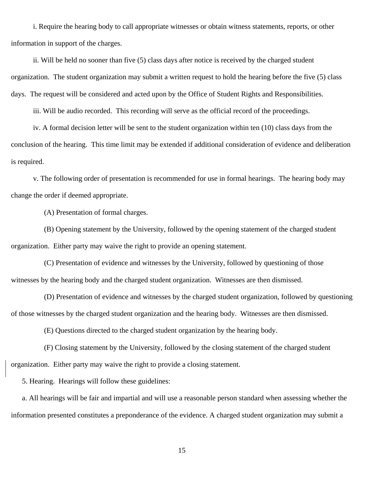i. Require the hearing body to call appropriate witnesses or obtain witness statements, reports, or other information in support of the charges.

ii. Will be held no sooner than five (5) class days after notice is received by the charged student organization. The student organization may submit a written request to hold the hearing before the five (5) class days. The request will be considered and acted upon by the Office of Student Rights and Responsibilities.

iii. Will be audio recorded. This recording will serve as the official record of the proceedings.

iv. A formal decision letter will be sent to the student organization within ten (10) class days from the conclusion of the hearing. This time limit may be extended if additional consideration of evidence and deliberation is required.

v. The following order of presentation is recommended for use in formal hearings. The hearing body may change the order if deemed appropriate.

(A) Presentation of formal charges.

(B) Opening statement by the University, followed by the opening statement of the charged student organization. Either party may waive the right to provide an opening statement.

(C) Presentation of evidence and witnesses by the University, followed by questioning of those witnesses by the hearing body and the charged student organization. Witnesses are then dismissed.

(D) Presentation of evidence and witnesses by the charged student organization, followed by questioning of those witnesses by the charged student organization and the hearing body. Witnesses are then dismissed.

(E) Questions directed to the charged student organization by the hearing body.

(F) Closing statement by the University, followed by the closing statement of the charged student organization. Either party may waive the right to provide a closing statement.

5. Hearing. Hearings will follow these guidelines:

a. All hearings will be fair and impartial and will use a reasonable person standard when assessing whether the information presented constitutes a preponderance of the evidence. A charged student organization may submit a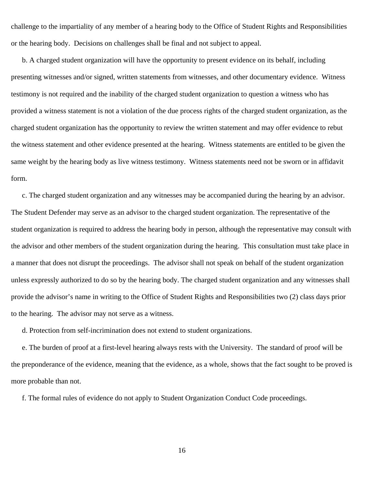challenge to the impartiality of any member of a hearing body to the Office of Student Rights and Responsibilities or the hearing body. Decisions on challenges shall be final and not subject to appeal.

b. A charged student organization will have the opportunity to present evidence on its behalf, including presenting witnesses and/or signed, written statements from witnesses, and other documentary evidence. Witness testimony is not required and the inability of the charged student organization to question a witness who has provided a witness statement is not a violation of the due process rights of the charged student organization, as the charged student organization has the opportunity to review the written statement and may offer evidence to rebut the witness statement and other evidence presented at the hearing. Witness statements are entitled to be given the same weight by the hearing body as live witness testimony. Witness statements need not be sworn or in affidavit form.

c. The charged student organization and any witnesses may be accompanied during the hearing by an advisor. The Student Defender may serve as an advisor to the charged student organization. The representative of the student organization is required to address the hearing body in person, although the representative may consult with the advisor and other members of the student organization during the hearing. This consultation must take place in a manner that does not disrupt the proceedings. The advisor shall not speak on behalf of the student organization unless expressly authorized to do so by the hearing body. The charged student organization and any witnesses shall provide the advisor's name in writing to the Office of Student Rights and Responsibilities two (2) class days prior to the hearing. The advisor may not serve as a witness.

d. Protection from self-incrimination does not extend to student organizations.

e. The burden of proof at a first-level hearing always rests with the University. The standard of proof will be the preponderance of the evidence, meaning that the evidence, as a whole, shows that the fact sought to be proved is more probable than not.

f. The formal rules of evidence do not apply to Student Organization Conduct Code proceedings.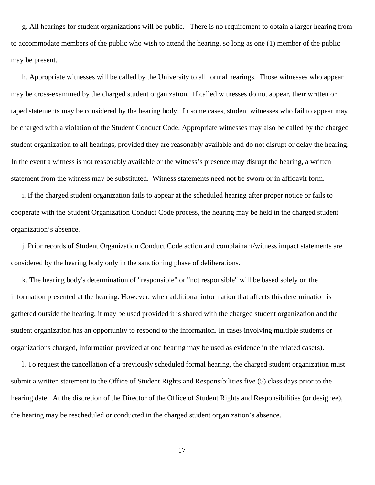g. All hearings for student organizations will be public. There is no requirement to obtain a larger hearing from to accommodate members of the public who wish to attend the hearing, so long as one (1) member of the public may be present.

h. Appropriate witnesses will be called by the University to all formal hearings. Those witnesses who appear may be cross-examined by the charged student organization. If called witnesses do not appear, their written or taped statements may be considered by the hearing body. In some cases, student witnesses who fail to appear may be charged with a violation of the Student Conduct Code. Appropriate witnesses may also be called by the charged student organization to all hearings, provided they are reasonably available and do not disrupt or delay the hearing. In the event a witness is not reasonably available or the witness's presence may disrupt the hearing, a written statement from the witness may be substituted. Witness statements need not be sworn or in affidavit form.

i. If the charged student organization fails to appear at the scheduled hearing after proper notice or fails to cooperate with the Student Organization Conduct Code process, the hearing may be held in the charged student organization's absence.

j. Prior records of Student Organization Conduct Code action and complainant/witness impact statements are considered by the hearing body only in the sanctioning phase of deliberations.

k. The hearing body's determination of "responsible" or "not responsible" will be based solely on the information presented at the hearing. However, when additional information that affects this determination is gathered outside the hearing, it may be used provided it is shared with the charged student organization and the student organization has an opportunity to respond to the information. In cases involving multiple students or organizations charged, information provided at one hearing may be used as evidence in the related case(s).

l. To request the cancellation of a previously scheduled formal hearing, the charged student organization must submit a written statement to the Office of Student Rights and Responsibilities five (5) class days prior to the hearing date. At the discretion of the Director of the Office of Student Rights and Responsibilities (or designee), the hearing may be rescheduled or conducted in the charged student organization's absence.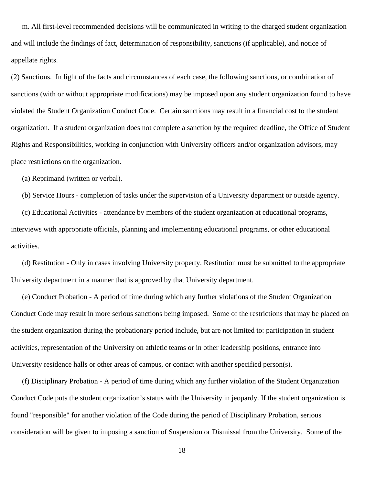m. All first-level recommended decisions will be communicated in writing to the charged student organization and will include the findings of fact, determination of responsibility, sanctions (if applicable), and notice of appellate rights.

(2) Sanctions. In light of the facts and circumstances of each case, the following sanctions, or combination of sanctions (with or without appropriate modifications) may be imposed upon any student organization found to have violated the Student Organization Conduct Code. Certain sanctions may result in a financial cost to the student organization. If a student organization does not complete a sanction by the required deadline, the Office of Student Rights and Responsibilities, working in conjunction with University officers and/or organization advisors, may place restrictions on the organization.

(a) Reprimand (written or verbal).

(b) Service Hours - completion of tasks under the supervision of a University department or outside agency.

(c) Educational Activities - attendance by members of the student organization at educational programs,

interviews with appropriate officials, planning and implementing educational programs, or other educational activities.

(d) Restitution - Only in cases involving University property. Restitution must be submitted to the appropriate University department in a manner that is approved by that University department.

(e) Conduct Probation - A period of time during which any further violations of the Student Organization Conduct Code may result in more serious sanctions being imposed. Some of the restrictions that may be placed on the student organization during the probationary period include, but are not limited to: participation in student activities, representation of the University on athletic teams or in other leadership positions, entrance into University residence halls or other areas of campus, or contact with another specified person(s).

(f) Disciplinary Probation - A period of time during which any further violation of the Student Organization Conduct Code puts the student organization's status with the University in jeopardy. If the student organization is found "responsible" for another violation of the Code during the period of Disciplinary Probation, serious consideration will be given to imposing a sanction of Suspension or Dismissal from the University. Some of the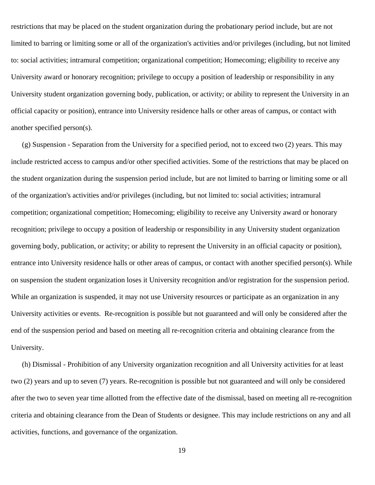restrictions that may be placed on the student organization during the probationary period include, but are not limited to barring or limiting some or all of the organization's activities and/or privileges (including, but not limited to: social activities; intramural competition; organizational competition; Homecoming; eligibility to receive any University award or honorary recognition; privilege to occupy a position of leadership or responsibility in any University student organization governing body, publication, or activity; or ability to represent the University in an official capacity or position), entrance into University residence halls or other areas of campus, or contact with another specified person(s).

(g) Suspension - Separation from the University for a specified period, not to exceed two (2) years. This may include restricted access to campus and/or other specified activities. Some of the restrictions that may be placed on the student organization during the suspension period include, but are not limited to barring or limiting some or all of the organization's activities and/or privileges (including, but not limited to: social activities; intramural competition; organizational competition; Homecoming; eligibility to receive any University award or honorary recognition; privilege to occupy a position of leadership or responsibility in any University student organization governing body, publication, or activity; or ability to represent the University in an official capacity or position), entrance into University residence halls or other areas of campus, or contact with another specified person(s). While on suspension the student organization loses it University recognition and/or registration for the suspension period. While an organization is suspended, it may not use University resources or participate as an organization in any University activities or events. Re-recognition is possible but not guaranteed and will only be considered after the end of the suspension period and based on meeting all re-recognition criteria and obtaining clearance from the University.

(h) Dismissal - Prohibition of any University organization recognition and all University activities for at least two (2) years and up to seven (7) years. Re-recognition is possible but not guaranteed and will only be considered after the two to seven year time allotted from the effective date of the dismissal, based on meeting all re-recognition criteria and obtaining clearance from the Dean of Students or designee. This may include restrictions on any and all activities, functions, and governance of the organization.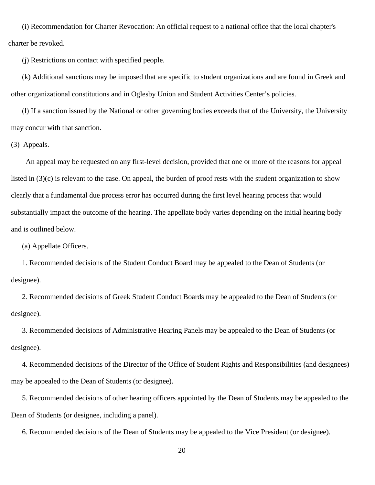(i) Recommendation for Charter Revocation: An official request to a national office that the local chapter's charter be revoked.

(j) Restrictions on contact with specified people.

(k) Additional sanctions may be imposed that are specific to student organizations and are found in Greek and other organizational constitutions and in Oglesby Union and Student Activities Center's policies.

(l) If a sanction issued by the National or other governing bodies exceeds that of the University, the University may concur with that sanction.

(3) Appeals.

 An appeal may be requested on any first-level decision, provided that one or more of the reasons for appeal listed in (3)(c) is relevant to the case. On appeal, the burden of proof rests with the student organization to show clearly that a fundamental due process error has occurred during the first level hearing process that would substantially impact the outcome of the hearing. The appellate body varies depending on the initial hearing body and is outlined below.

(a) Appellate Officers.

1. Recommended decisions of the Student Conduct Board may be appealed to the Dean of Students (or designee).

2. Recommended decisions of Greek Student Conduct Boards may be appealed to the Dean of Students (or designee).

3. Recommended decisions of Administrative Hearing Panels may be appealed to the Dean of Students (or designee).

4. Recommended decisions of the Director of the Office of Student Rights and Responsibilities (and designees) may be appealed to the Dean of Students (or designee).

5. Recommended decisions of other hearing officers appointed by the Dean of Students may be appealed to the Dean of Students (or designee, including a panel).

6. Recommended decisions of the Dean of Students may be appealed to the Vice President (or designee).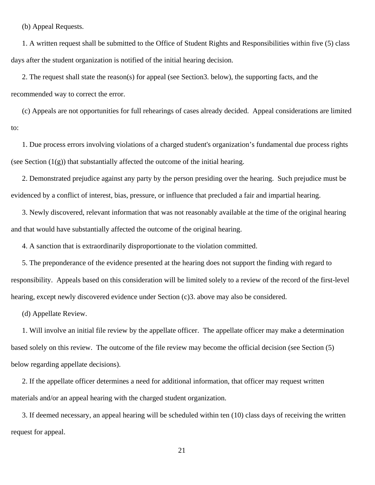(b) Appeal Requests.

1. A written request shall be submitted to the Office of Student Rights and Responsibilities within five (5) class days after the student organization is notified of the initial hearing decision.

2. The request shall state the reason(s) for appeal (see Section3. below), the supporting facts, and the recommended way to correct the error.

(c) Appeals are not opportunities for full rehearings of cases already decided. Appeal considerations are limited to:

1. Due process errors involving violations of a charged student's organization's fundamental due process rights (see Section  $(1(g))$  that substantially affected the outcome of the initial hearing.

2. Demonstrated prejudice against any party by the person presiding over the hearing. Such prejudice must be evidenced by a conflict of interest, bias, pressure, or influence that precluded a fair and impartial hearing.

3. Newly discovered, relevant information that was not reasonably available at the time of the original hearing and that would have substantially affected the outcome of the original hearing.

4. A sanction that is extraordinarily disproportionate to the violation committed.

5. The preponderance of the evidence presented at the hearing does not support the finding with regard to responsibility. Appeals based on this consideration will be limited solely to a review of the record of the first-level hearing, except newly discovered evidence under Section (c)3. above may also be considered.

(d) Appellate Review.

1. Will involve an initial file review by the appellate officer. The appellate officer may make a determination based solely on this review. The outcome of the file review may become the official decision (see Section (5) below regarding appellate decisions).

2. If the appellate officer determines a need for additional information, that officer may request written materials and/or an appeal hearing with the charged student organization.

3. If deemed necessary, an appeal hearing will be scheduled within ten (10) class days of receiving the written request for appeal.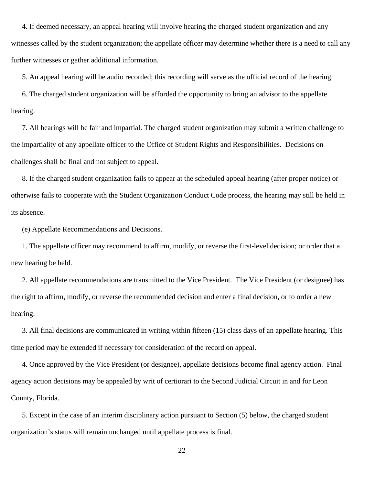4. If deemed necessary, an appeal hearing will involve hearing the charged student organization and any witnesses called by the student organization; the appellate officer may determine whether there is a need to call any further witnesses or gather additional information.

5. An appeal hearing will be audio recorded; this recording will serve as the official record of the hearing.

6. The charged student organization will be afforded the opportunity to bring an advisor to the appellate hearing.

7. All hearings will be fair and impartial. The charged student organization may submit a written challenge to the impartiality of any appellate officer to the Office of Student Rights and Responsibilities. Decisions on challenges shall be final and not subject to appeal.

8. If the charged student organization fails to appear at the scheduled appeal hearing (after proper notice) or otherwise fails to cooperate with the Student Organization Conduct Code process, the hearing may still be held in its absence.

(e) Appellate Recommendations and Decisions.

1. The appellate officer may recommend to affirm, modify, or reverse the first-level decision; or order that a new hearing be held.

2. All appellate recommendations are transmitted to the Vice President. The Vice President (or designee) has the right to affirm, modify, or reverse the recommended decision and enter a final decision, or to order a new hearing.

3. All final decisions are communicated in writing within fifteen (15) class days of an appellate hearing. This time period may be extended if necessary for consideration of the record on appeal.

4. Once approved by the Vice President (or designee), appellate decisions become final agency action. Final agency action decisions may be appealed by writ of certiorari to the Second Judicial Circuit in and for Leon County, Florida.

5. Except in the case of an interim disciplinary action pursuant to Section (5) below, the charged student organization's status will remain unchanged until appellate process is final.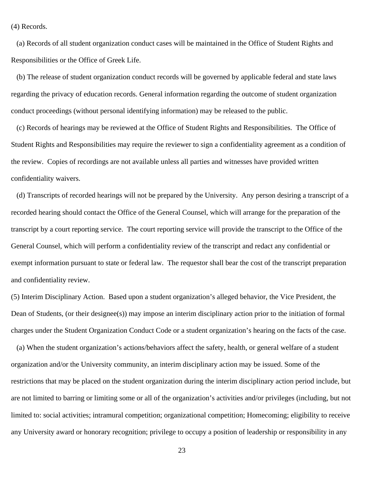(4) Records.

(a) Records of all student organization conduct cases will be maintained in the Office of Student Rights and Responsibilities or the Office of Greek Life.

(b) The release of student organization conduct records will be governed by applicable federal and state laws regarding the privacy of education records. General information regarding the outcome of student organization conduct proceedings (without personal identifying information) may be released to the public.

(c) Records of hearings may be reviewed at the Office of Student Rights and Responsibilities. The Office of Student Rights and Responsibilities may require the reviewer to sign a confidentiality agreement as a condition of the review. Copies of recordings are not available unless all parties and witnesses have provided written confidentiality waivers.

(d) Transcripts of recorded hearings will not be prepared by the University. Any person desiring a transcript of a recorded hearing should contact the Office of the General Counsel, which will arrange for the preparation of the transcript by a court reporting service. The court reporting service will provide the transcript to the Office of the General Counsel, which will perform a confidentiality review of the transcript and redact any confidential or exempt information pursuant to state or federal law. The requestor shall bear the cost of the transcript preparation and confidentiality review.

(5) Interim Disciplinary Action. Based upon a student organization's alleged behavior, the Vice President, the Dean of Students, (or their designee(s)) may impose an interim disciplinary action prior to the initiation of formal charges under the Student Organization Conduct Code or a student organization's hearing on the facts of the case.

(a) When the student organization's actions/behaviors affect the safety, health, or general welfare of a student organization and/or the University community, an interim disciplinary action may be issued. Some of the restrictions that may be placed on the student organization during the interim disciplinary action period include, but are not limited to barring or limiting some or all of the organization's activities and/or privileges (including, but not limited to: social activities; intramural competition; organizational competition; Homecoming; eligibility to receive any University award or honorary recognition; privilege to occupy a position of leadership or responsibility in any